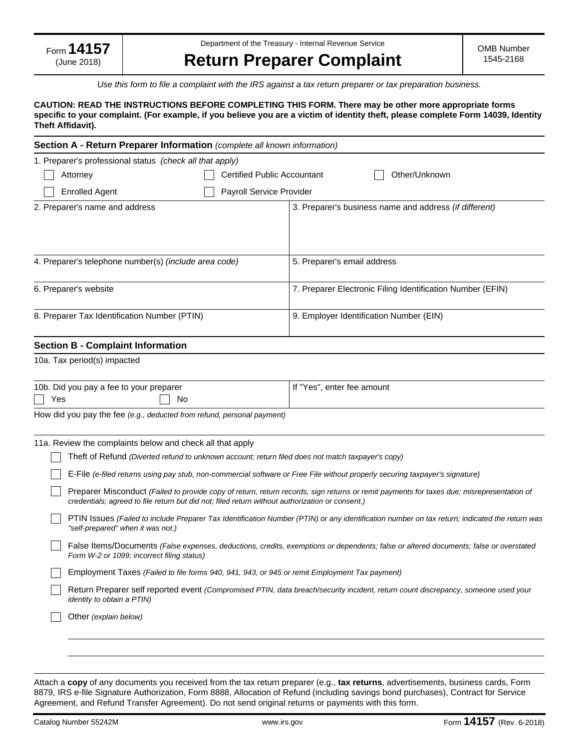Department of the Treasury - Internal Revenue Service

# **Return Preparer Complaint**

*Use this form to file a complaint with the IRS against a tax return preparer or tax preparation business.* 

## **CAUTION: READ THE INSTRUCTIONS BEFORE COMPLETING THIS FORM. There may be other more appropriate forms specific to your complaint. (For example, if you believe you are a victim of identity theft, please complete Form 14039, Identity Theft Affidavit).**

| Section A - Return Preparer Information (complete all known information) |                                                               |  |  |
|--------------------------------------------------------------------------|---------------------------------------------------------------|--|--|
| 1. Preparer's professional status (check all that apply)                 |                                                               |  |  |
| Other/Unknown<br>Attorney<br>Certified Public Accountant                 |                                                               |  |  |
| <b>Enrolled Agent</b><br><b>Payroll Service Provider</b>                 |                                                               |  |  |
| 2. Preparer's name and address                                           | 3. Preparer's business name and address <i>(if different)</i> |  |  |
| 4. Preparer's telephone number(s) (include area code)                    | 5. Preparer's email address                                   |  |  |
| 6. Preparer's website                                                    | 7. Preparer Electronic Filing Identification Number (EFIN)    |  |  |
| 8. Preparer Tax Identification Number (PTIN)                             | 9. Employer Identification Number (EIN)                       |  |  |
| <b>Continn D</b> Cample information                                      |                                                               |  |  |

## **Section B - Complaint Information**

10a. Tax period(s) impacted

| 10b. Did you pay a fee to your preparer                                | l If "Yes", enter fee amount |
|------------------------------------------------------------------------|------------------------------|
| No<br>Yes                                                              |                              |
| How did you pay the fee (e.g., deducted from refund, personal payment) |                              |

| 11a. Review the complaints below and check all that apply                                                                                                                                                                                    |
|----------------------------------------------------------------------------------------------------------------------------------------------------------------------------------------------------------------------------------------------|
| Theft of Refund (Diverted refund to unknown account; return filed does not match taxpayer's copy)                                                                                                                                            |
| E-File (e-filed returns using pay stub, non-commercial software or Free File without properly securing taxpayer's signature)                                                                                                                 |
| Preparer Misconduct (Failed to provide copy of return, return records, sign returns or remit payments for taxes due; misrepresentation of<br>credentials; agreed to file return but did not; filed return without authorization or consent.) |
| PTIN Issues (Failed to include Preparer Tax Identification Number (PTIN) or any identification number on tax return; indicated the return was<br>"self-prepared" when it was not.)                                                           |
| False Items/Documents (False expenses, deductions, credits, exemptions or dependents; false or altered documents; false or overstated<br>Form W-2 or 1099; incorrect filing status)                                                          |
| Employment Taxes (Failed to file forms 940, 941, 943, or 945 or remit Employment Tax payment)                                                                                                                                                |
| Return Preparer self reported event (Compromised PTIN, data breach/security incident, return count discrepancy, someone used your<br><i>identity to obtain a PTIN)</i>                                                                       |
| Other (explain below)                                                                                                                                                                                                                        |
|                                                                                                                                                                                                                                              |
|                                                                                                                                                                                                                                              |

Attach a **copy** of any documents you received from the tax return preparer (e.g., **tax returns**, advertisements, business cards, Form 8879, IRS e-file Signature Authorization, Form 8888, Allocation of Refund (including savings bond purchases), Contract for Service Agreement, and Refund Transfer Agreement). Do not send original returns or payments with this form.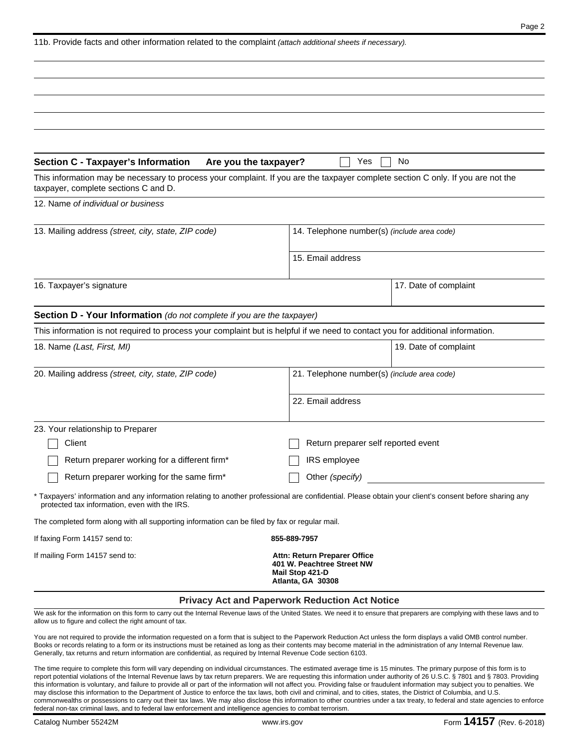| 11b. Provide facts and other information related to the complaint (attach additional sheets if necessary). |  |  |
|------------------------------------------------------------------------------------------------------------|--|--|
|------------------------------------------------------------------------------------------------------------|--|--|

| <b>Section C - Taxpayer's Information</b>                                                     | Are you the taxpayer?<br>Yes<br>No                                                                                                                     |
|-----------------------------------------------------------------------------------------------|--------------------------------------------------------------------------------------------------------------------------------------------------------|
| taxpayer, complete sections C and D.                                                          | This information may be necessary to process your complaint. If you are the taxpayer complete section C only. If you are not the                       |
| 12. Name of individual or business                                                            |                                                                                                                                                        |
| 13. Mailing address (street, city, state, ZIP code)                                           | 14. Telephone number(s) (include area code)                                                                                                            |
|                                                                                               | 15. Email address                                                                                                                                      |
| 16. Taxpayer's signature                                                                      | 17. Date of complaint                                                                                                                                  |
| Section D - Your Information (do not complete if you are the taxpayer)                        |                                                                                                                                                        |
|                                                                                               | This information is not required to process your complaint but is helpful if we need to contact you for additional information.                        |
| 18. Name (Last, First, MI)                                                                    | 19. Date of complaint                                                                                                                                  |
| 20. Mailing address (street, city, state, ZIP code)                                           | 21. Telephone number(s) (include area code)                                                                                                            |
|                                                                                               | 22. Email address                                                                                                                                      |
| 23. Your relationship to Preparer                                                             |                                                                                                                                                        |
| Client                                                                                        | Return preparer self reported event                                                                                                                    |
| Return preparer working for a different firm*                                                 | IRS employee                                                                                                                                           |
| Return preparer working for the same firm*                                                    | Other (specify)                                                                                                                                        |
| protected tax information, even with the IRS.                                                 | * Taxpayers' information and any information relating to another professional are confidential. Please obtain your client's consent before sharing any |
| The completed form along with all supporting information can be filed by fax or regular mail. |                                                                                                                                                        |
| If faxing Form 14157 send to:                                                                 | 855-889-7957                                                                                                                                           |
| If mailing Form 14157 send to:                                                                | Attn: Return Preparer Office<br>401 W. Peachtree Street NW<br>Mail Stop 421-D<br>Atlanta, GA 30308                                                     |
|                                                                                               | <b>Privacy Act and Paperwork Reduction Act Notice</b>                                                                                                  |

We ask for the information on this form to carry out the Internal Revenue laws of the United States. We need it to ensure that preparers are complying with these laws and to allow us to figure and collect the right amount of tax.

You are not required to provide the information requested on a form that is subject to the Paperwork Reduction Act unless the form displays a valid OMB control number. Books or records relating to a form or its instructions must be retained as long as their contents may become material in the administration of any Internal Revenue law. Generally, tax returns and return information are confidential, as required by Internal Revenue Code section 6103.

The time require to complete this form will vary depending on individual circumstances. The estimated average time is 15 minutes. The primary purpose of this form is to report potential violations of the Internal Revenue laws by tax return preparers. We are requesting this information under authority of 26 U.S.C. § 7801 and § 7803. Providing this information is voluntary, and failure to provide all or part of the information will not affect you. Providing false or fraudulent information may subject you to penalties. We may disclose this information to the Department of Justice to enforce the tax laws, both civil and criminal, and to cities, states, the District of Columbia, and U.S. commonwealths or possessions to carry out their tax laws. We may also disclose this information to other countries under a tax treaty, to federal and state agencies to enforce federal non-tax criminal laws, and to federal law enforcement and intelligence agencies to combat terrorism.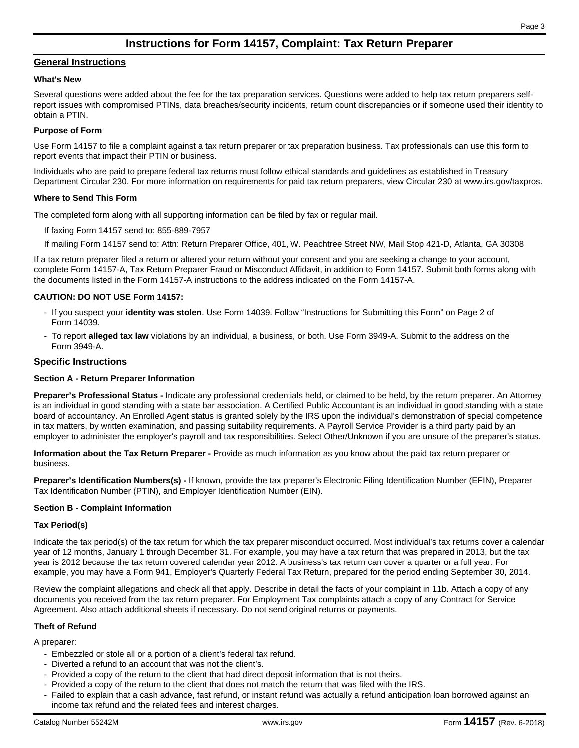## **Instructions for Form 14157, Complaint: Tax Return Preparer**

## **General Instructions**

#### **What's New**

Several questions were added about the fee for the tax preparation services. Questions were added to help tax return preparers selfreport issues with compromised PTINs, data breaches/security incidents, return count discrepancies or if someone used their identity to obtain a PTIN.

## **Purpose of Form**

Use Form 14157 to file a complaint against a tax return preparer or tax preparation business. Tax professionals can use this form to report events that impact their PTIN or business.

Individuals who are paid to prepare federal tax returns must follow ethical standards and guidelines as established in Treasury Department Circular 230. For more information on requirements for paid tax return preparers, view Circular 230 at www.irs.gov/taxpros.

## **Where to Send This Form**

The completed form along with all supporting information can be filed by fax or regular mail.

If faxing Form 14157 send to: 855-889-7957

If mailing Form 14157 send to: Attn: Return Preparer Office, 401, W. Peachtree Street NW, Mail Stop 421-D, Atlanta, GA 30308

If a tax return preparer filed a return or altered your return without your consent and you are seeking a change to your account, complete Form 14157-A, Tax Return Preparer Fraud or Misconduct Affidavit, in addition to Form 14157. Submit both forms along with the documents listed in the Form 14157-A instructions to the address indicated on the Form 14157-A.

## **CAUTION: DO NOT USE Form 14157:**

- If you suspect your **identity was stolen**. Use Form 14039. Follow "Instructions for Submitting this Form" on Page 2 of Form 14039.
- To report **alleged tax law** violations by an individual, a business, or both. Use Form 3949-A. Submit to the address on the Form 3949-A.

## **Specific Instructions**

## **Section A - Return Preparer Information**

**Preparer's Professional Status -** Indicate any professional credentials held, or claimed to be held, by the return preparer. An Attorney is an individual in good standing with a state bar association. A Certified Public Accountant is an individual in good standing with a state board of accountancy. An Enrolled Agent status is granted solely by the IRS upon the individual's demonstration of special competence in tax matters, by written examination, and passing suitability requirements. A Payroll Service Provider is a third party paid by an employer to administer the employer's payroll and tax responsibilities. Select Other/Unknown if you are unsure of the preparer's status.

**Information about the Tax Return Preparer -** Provide as much information as you know about the paid tax return preparer or business.

**Preparer's Identification Numbers(s) -** If known, provide the tax preparer's Electronic Filing Identification Number (EFIN), Preparer Tax Identification Number (PTIN), and Employer Identification Number (EIN).

#### **Section B - Complaint Information**

## **Tax Period(s)**

Indicate the tax period(s) of the tax return for which the tax preparer misconduct occurred. Most individual's tax returns cover a calendar year of 12 months, January 1 through December 31. For example, you may have a tax return that was prepared in 2013, but the tax year is 2012 because the tax return covered calendar year 2012. A business's tax return can cover a quarter or a full year. For example, you may have a Form 941, Employer's Quarterly Federal Tax Return, prepared for the period ending September 30, 2014.

Review the complaint allegations and check all that apply. Describe in detail the facts of your complaint in 11b. Attach a copy of any documents you received from the tax return preparer. For Employment Tax complaints attach a copy of any Contract for Service Agreement. Also attach additional sheets if necessary. Do not send original returns or payments.

## **Theft of Refund**

A preparer:

- Embezzled or stole all or a portion of a client's federal tax refund.
- Diverted a refund to an account that was not the client's.
- Provided a copy of the return to the client that had direct deposit information that is not theirs.
- Provided a copy of the return to the client that does not match the return that was filed with the IRS.
- Failed to explain that a cash advance, fast refund, or instant refund was actually a refund anticipation loan borrowed against an income tax refund and the related fees and interest charges.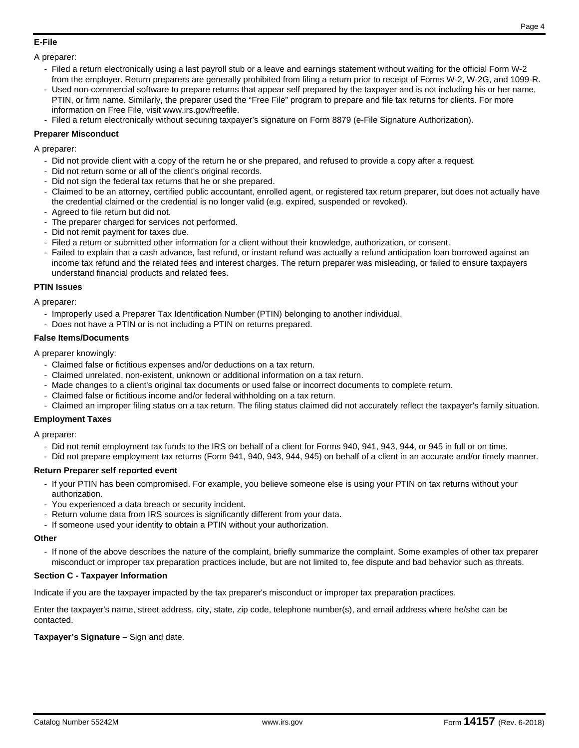## **E-File**

## A preparer:

- Filed a return electronically using a last payroll stub or a leave and earnings statement without waiting for the official Form W-2 from the employer. Return preparers are generally prohibited from filing a return prior to receipt of Forms W-2, W-2G, and 1099-R.
- Used non-commercial software to prepare returns that appear self prepared by the taxpayer and is not including his or her name, PTIN, or firm name. Similarly, the preparer used the "Free File" program to prepare and file tax returns for clients. For more information on Free File, visit www.irs.gov/freefile.
- Filed a return electronically without securing taxpayer's signature on Form 8879 (e-File Signature Authorization).

## **Preparer Misconduct**

A preparer:

- Did not provide client with a copy of the return he or she prepared, and refused to provide a copy after a request.
- Did not return some or all of the client's original records.
- Did not sign the federal tax returns that he or she prepared.
- Claimed to be an attorney, certified public accountant, enrolled agent, or registered tax return preparer, but does not actually have the credential claimed or the credential is no longer valid (e.g. expired, suspended or revoked).
- Agreed to file return but did not.
- The preparer charged for services not performed.
- Did not remit payment for taxes due.
- Filed a return or submitted other information for a client without their knowledge, authorization, or consent.
- Failed to explain that a cash advance, fast refund, or instant refund was actually a refund anticipation loan borrowed against an income tax refund and the related fees and interest charges. The return preparer was misleading, or failed to ensure taxpayers understand financial products and related fees.

## **PTIN Issues**

A preparer:

- Improperly used a Preparer Tax Identification Number (PTIN) belonging to another individual.
- Does not have a PTIN or is not including a PTIN on returns prepared.

## **False Items/Documents**

A preparer knowingly:

- Claimed false or fictitious expenses and/or deductions on a tax return.
- Claimed unrelated, non-existent, unknown or additional information on a tax return.
- Made changes to a client's original tax documents or used false or incorrect documents to complete return.
- Claimed false or fictitious income and/or federal withholding on a tax return.
- Claimed an improper filing status on a tax return. The filing status claimed did not accurately reflect the taxpayer's family situation.

## **Employment Taxes**

A preparer:

- Did not remit employment tax funds to the IRS on behalf of a client for Forms 940, 941, 943, 944, or 945 in full or on time.
- Did not prepare employment tax returns (Form 941, 940, 943, 944, 945) on behalf of a client in an accurate and/or timely manner.

## **Return Preparer self reported event**

- If your PTIN has been compromised. For example, you believe someone else is using your PTIN on tax returns without your authorization.
- You experienced a data breach or security incident.
- Return volume data from IRS sources is significantly different from your data.
- If someone used your identity to obtain a PTIN without your authorization.

## **Other**

- If none of the above describes the nature of the complaint, briefly summarize the complaint. Some examples of other tax preparer misconduct or improper tax preparation practices include, but are not limited to, fee dispute and bad behavior such as threats.

## **Section C - Taxpayer Information**

Indicate if you are the taxpayer impacted by the tax preparer's misconduct or improper tax preparation practices.

Enter the taxpayer's name, street address, city, state, zip code, telephone number(s), and email address where he/she can be contacted.

## **Taxpayer's Signature –** Sign and date.